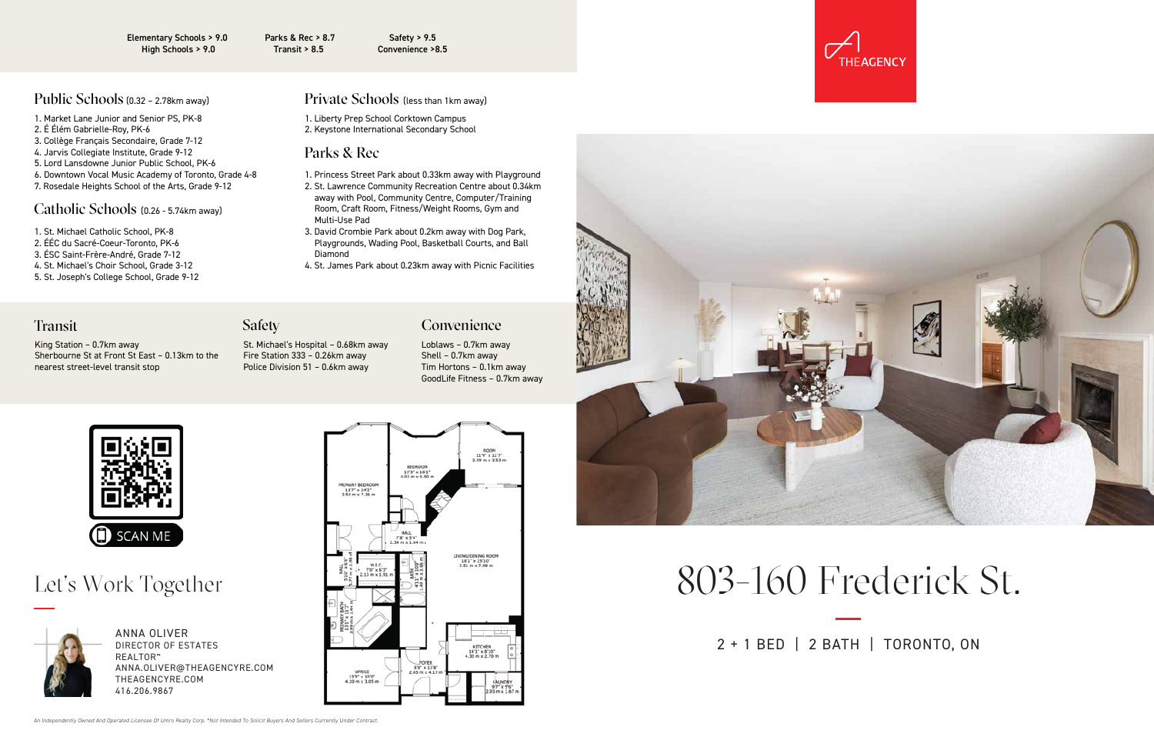

ANNA OLIVER DIRECTOR OF ESTATES **REALTOR**<sup>™</sup> ANNA.OLIVER@THEAGENCYRE.COM THEAGENCYRE.COM 416.206.9867





# Let's Work Together **Example 19** Frederick St.

2 + 1 BED | 2 BATH | TORONTO, ON

Elementary Schools > 9.0 High Schools > 9.0

Parks & Rec > 8.7 Transit > 8.5

Safety > 9.5 Convenience >8.5

## Public Schools (0.32 - 2.78km away)

- 1. St. Michael Catholic School, PK-8
- 2. ÉÉC du Sacré-Coeur-Toronto, PK-6
- 3. ÉSC Saint-Frère-André, Grade 7-12
- 4. St. Michael's Choir School, Grade 3-12
- 5. St. Joseph's College School, Grade 9-12

## $(0.32 - 2.78$ km away)  $Pri \vee \text{true}$  Schools (less than 1km away)

- 1. Market Lane Junior and Senior PS, PK-8
- 2. É Élém Gabrielle-Roy, PK-6
- 3. Collège Français Secondaire, Grade 7-12
- 4. Jarvis Collegiate Institute, Grade 9-12
- 5. Lord Lansdowne Junior Public School, PK-6
- 6. Downtown Vocal Music Academy of Toronto, Grade 4-8
- 7. Rosedale Heights School of the Arts, Grade 9-12

## Catholic Schools (0.26 - 5.74km away)

- 1. Princess Street Park about 0.33km away with Playground
- 2. St. Lawrence Community Recreation Centre about 0.34km away with Pool, Community Centre, Computer/Training Room, Craft Room, Fitness/Weight Rooms, Gym and Multi-Use Pad
- 3. David Crombie Park about 0.2km away with Dog Park, Playgrounds, Wading Pool, Basketball Courts, and Ball Diamond
- 4. St. James Park about 0.23km away with Picnic Facilities

## **Transit**

1. Liberty Prep School Corktown Campus 2. Keystone International Secondary School

## Parks & Rec

### King Station – 0.7km away Sherbourne St at Front St East – 0.13km to the nearest street-level transit stop

## **Safety**

St. Michael's Hospital – 0.68km away Fire Station 333 – 0.26km away Police Division 51 – 0.6km away

## Loblaws – 0.7km away Shell – 0.7km away Convenience

Tim Hortons – 0.1km away GoodLife Fitness – 0.7km away